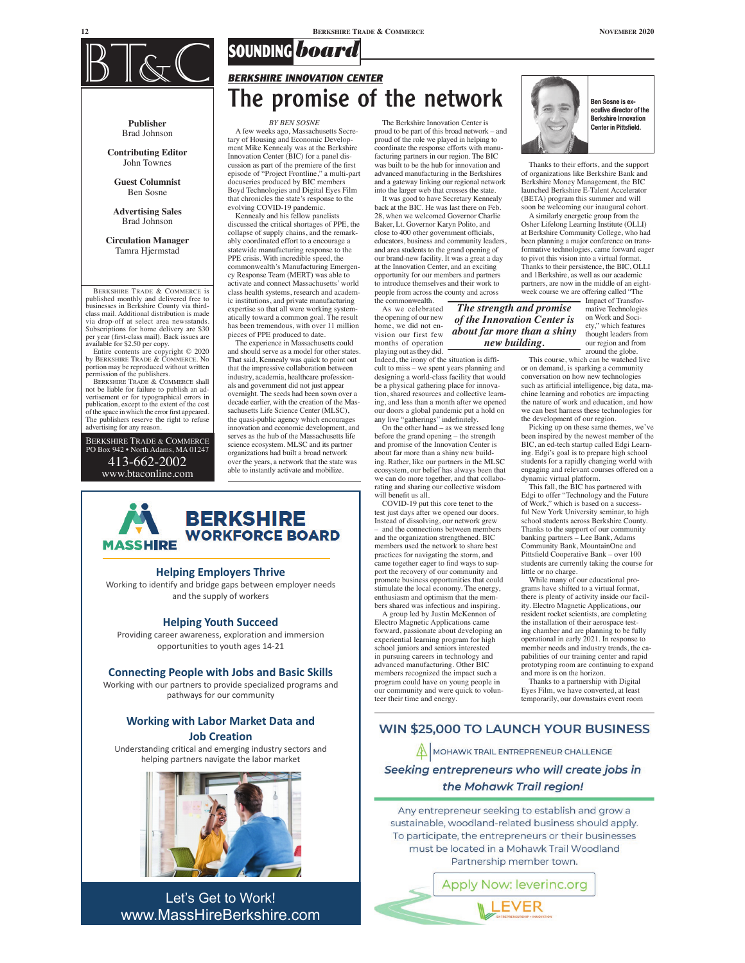

**Publisher** Brad Johnson

**Contributing Editor** John Townes

**Guest Columnist** Ben Sosne

**Advertising Sales** Brad Johnson

**Circulation Manager** Tamra Hjermstad

BERKSHIRE TRADE & COMMERCE is published monthly and delivered free to businesses in Berkshire County via third-class mail. Additional distribution is made via drop-off at select area newsstands. Subscriptions for home delivery are \$30 per year (frst-class mail). Back issues are available for \$2.50 per copy.

Entire contents are copyright © 2020 by BERKSHIRE TRADE & COMMERCE. No portion may be reproduced without written permission of the publishers. BERKSHIRE TRADE & COMMERCE shall

not be liable for failure to publish an ad-vertisement or for typographical errors in publication, except to the extent of the cost of the space in which the error frst appeared. The publishers reserve the right to refuse advertising for any reason.

BERKSHIRE TRADE & COMMERCE PO Box 942 • North Adams, MA 01247 413-662-2002 www.btaconline.com

#### *BY BEN SOSNE*

**SOUNDING***board*

**BERKSHIRE INNOVATION CENTER**

A few weeks ago, Massachusetts Secretary of Housing and Economic Development Mike Kennealy was at the Berkshire Innovation Center (BIC) for a panel discussion as part of the premiere of the frst episode of "Project Frontline," a multi-part docuseries produced by BIC members Boyd Technologies and Digital Eyes Film that chronicles the state's response to the evolving COVID-19 pandemic.

Kennealy and his fellow panelists discussed the critical shortages of PPE, the collapse of supply chains, and the remark-ably coordinated effort to a encourage a statewide manufacturing response to the PPE crisis. With incredible speed, the commonwealth's Manufacturing Emergency Response Team (MERT) was able to activate and connect Massachusetts' world class health systems, research and academic institutions, and private manufacturing expertise so that all were working systematically toward a common goal. The result has been tremendous, with over 11 million pieces of PPE produced to date.

The experience in Massachusetts could and should serve as a model for other states. That said, Kennealy was quick to point out that the impressive collaboration between industry, academia, healthcare professionals and government did not just appear overnight. The seeds had been sown over a decade earlier, with the creation of the Massachusetts Life Science Center (MLSC), the quasi-public agency which encourages innovation and economic development, and serves as the hub of the Massachusetts life science ecosystem. MLSC and its partner organizations had built a broad network over the years, a network that the state was able to instantly activate and mobilize.

# **BERKSHIRE WORKFORCE BOARD MASSHIRE**

#### **Helping Employers Thrive**

Working to identify and bridge gaps between employer needs and the supply of workers

#### **Helping Youth Succeed**

Providing career awareness, exploration and immersion opportunities to youth ages 14-21

#### **Connecting People with Jobs and Basic Skills**

Working with our partners to provide specialized programs and pathways for our community

### **Working with Labor Market Data and Job Creation**

Understanding critical and emerging industry sectors and helping partners navigate the labor market



Let's Get to Work! www.MassHireBerkshire.com

The Berkshire Innovation Center is proud to be part of this broad network – and proud of the role we played in helping to coordinate the response efforts with manufacturing partners in our region. The BIC was built to be the hub for innovation and advanced manufacturing in the Berkshires and a gateway linking our regional network into the larger web that crosses the state.

It was good to have Secretary Kennealy back at the BIC. He was last there on Feb. 28, when we welcomed Governor Charlie Baker, Lt. Governor Karyn Polito, and close to 400 other government officials, educators, business and community leaders, and area students to the grand opening of our brand-new facility. It was a great a day at the Innovation Center, and an exciting opportunity for our members and partners to introduce themselves and their work to people from across the county and across the commonwealth.

As we celebrated the opening of our new home, we did not envision our first few months of operation playing out as they did. *The strength and promise of the Innovation Center is about far more than a shiny new building.*

Indeed, the irony of the situation is diffcult to miss – we spent years planning and designing a world-class facility that would be a physical gathering place for innovation, shared resources and collective learning, and less than a month after we opened our doors a global pandemic put a hold on

any live "gatherings" indefnitely. On the other hand – as we stressed long before the grand opening – the strength and promise of the Innovation Center is about far more than a shiny new building. Rather, like our partners in the MLSC ecosystem, our belief has always been that we can do more together, and that collaborating and sharing our collective wisdom will beneft us all.

COVID-19 put this core tenet to the test just days after we opened our doors. Instead of dissolving, our network grew and the connections between members and the organization strengthened. BIC members used the network to share best practices for navigating the storm, and came together eager to fnd ways to support the recovery of our community and promote business opportunities that could stimulate the local economy. The energy, enthusiasm and optimism that the members shared was infectious and inspiring. A group led by Justin McKennon of

Electro Magnetic Applications came forward, passionate about developing an experiential learning program for high school juniors and seniors interested in pursuing careers in technology and advanced manufacturing. Other BIC members recognized the impact such a program could have on young people in our community and were quick to volunteer their time and energy.



Thanks to their efforts, and the support of organizations like Berkshire Bank and

Berkshire Money Management, the BIC launched Berkshire E-Talent Accelerator (BETA) program this summer and will soon be welcoming our inaugural cohort. A similarly energetic group from the

Osher Lifelong Learning Institute (OLLI) at Berkshire Community College, who had been planning a major conference on transformative technologies, came forward eager to pivot this vision into a virtual format. Thanks to their persistence, the BIC, OLLI and 1Berkshire, as well as our academic partners, are now in the middle of an eightweek course we are offering called "The

Impact of Transformative Technologies on Work and Society," which features thought leaders from our region and from around the globe.

This course, which can be watched live or on demand, is sparking a community conversation on how new technologies such as artifcial intelligence, big data, machine learning and robotics are impacting the nature of work and education, and how we can best harness these technologies for

the development of our region. Picking up on these same themes, we've been inspired by the newest member of the BIC, an ed-tech startup called Edgi Learning. Edgi's goal is to prepare high school students for a rapidly changing world with engaging and relevant courses offered on a dynamic virtual platform.

This fall, the BIC has partnered with Edgi to offer "Technology and the Future of Work," which is based on a successful New York University seminar, to high school students across Berkshire County. Thanks to the support of our community banking partners – Lee Bank, Adams Community Bank, MountainOne and Pittsfeld Cooperative Bank – over 100 students are currently taking the course for little or no charge.

While many of our educational pro-grams have shifted to a virtual format, there is plenty of activity inside our facility. Electro Magnetic Applications, our resident rocket scientists, are completing the installation of their aerospace testing chamber and are planning to be fully operational in early 2021. In response to member needs and industry trends, the capabilities of our training center and rapid prototyping room are continuing to expand and more is on the horizon.

Thanks to a partnership with Digital Eyes Film, we have converted, at least temporarily, our downstairs event room

## **WIN \$25,000 TO LAUNCH YOUR BUSINESS**

MOHAWK TRAIL ENTREPRENEUR CHALLENGE

Seeking entrepreneurs who will create jobs in the Mohawk Trail region!

Any entrepreneur seeking to establish and grow a sustainable, woodland-related business should apply. To participate, the entrepreneurs or their businesses must be located in a Mohawk Trail Woodland Partnership member town.

> Apply Now: leverinc.org LEVER